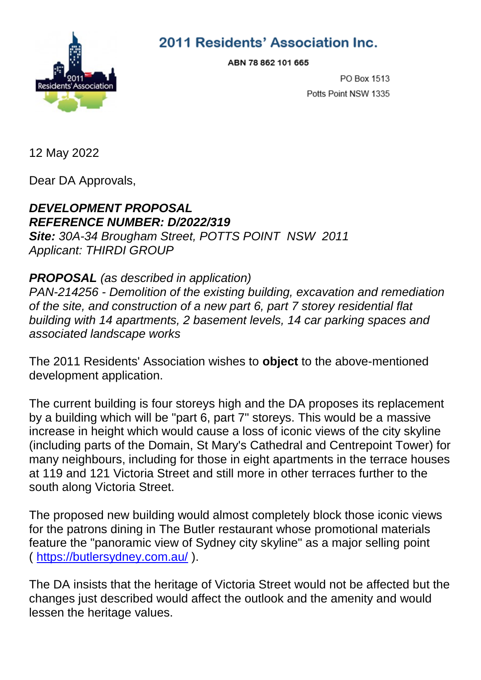

2011 Residents' Association Inc.

ABN 78 862 101 665

PO Box 1513 Potts Point NSW 1335

12 May 2022

Dear DA Approvals,

## *DEVELOPMENT PROPOSAL REFERENCE NUMBER: D/2022/319 Site: 30A-34 Brougham Street, POTTS POINT NSW 2011*

*Applicant: THIRDI GROUP*

## *PROPOSAL (as described in application)*

*PAN-214256 - Demolition of the existing building, excavation and remediation of the site, and construction of a new part 6, part 7 storey residential flat building with 14 apartments, 2 basement levels, 14 car parking spaces and associated landscape works*

The 2011 Residents' Association wishes to **object** to the above-mentioned development application.

The current building is four storeys high and the DA proposes its replacement by a building which will be "part 6, part 7" storeys. This would be a massive increase in height which would cause a loss of iconic views of the city skyline (including parts of the Domain, St Mary's Cathedral and Centrepoint Tower) for many neighbours, including for those in eight apartments in the terrace houses at 119 and 121 Victoria Street and still more in other terraces further to the south along Victoria Street.

The proposed new building would almost completely block those iconic views for the patrons dining in The Butler restaurant whose promotional materials feature the "panoramic view of Sydney city skyline" as a major selling point ( <https://butlersydney.com.au/> ).

The DA insists that the heritage of Victoria Street would not be affected but the changes just described would affect the outlook and the amenity and would lessen the heritage values.